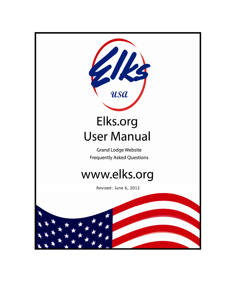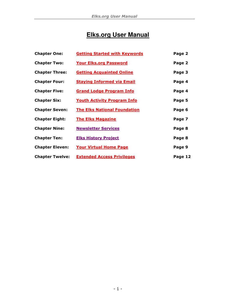# **Elks.org User Manual**

| <b>Chapter One:</b>    | <b>Getting Started with Keywords</b> | Page 2  |
|------------------------|--------------------------------------|---------|
| <b>Chapter Two:</b>    | <b>Your Elks.org Password</b>        | Page 2  |
| <b>Chapter Three:</b>  | <b>Getting Acquainted Online</b>     | Page 3  |
| <b>Chapter Four:</b>   | <b>Staying Informed via Email</b>    | Page 4  |
| <b>Chapter Five:</b>   | <b>Grand Lodge Program Info</b>      | Page 4  |
| <b>Chapter Six:</b>    | <b>Youth Activity Program Info</b>   | Page 5  |
| <b>Chapter Seven:</b>  | <b>The Elks National Foundation</b>  | Page 6  |
| <b>Chapter Eight:</b>  | <b>The Elks Magazine</b>             | Page 7  |
| <b>Chapter Nine:</b>   | <b>Newsletter Services</b>           | Page 8  |
| <b>Chapter Ten:</b>    | <b>Elks History Project</b>          | Page 8  |
| <b>Chapter Eleven:</b> | <b>Your Virtual Home Page</b>        | Page 9  |
| <b>Chapter Twelve:</b> | <b>Extended Access Privileges</b>    | Page 12 |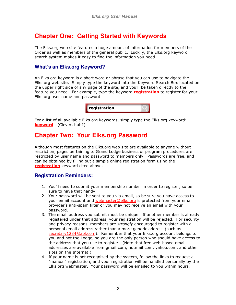## **Chapter One: Getting Started with Keywords**

The Elks.org web site features a huge amount of information for members of the Order as well as members of the general public. Luckily, the Elks.org keyword search system makes it easy to find the information you need.

### **What's an Elks.org Keyword?**

An Elks.org keyword is a short word or phrase that you can use to navigate the Elks.org web site. Simply type the keyword into the Keyword Search Box located on the upper right side of any page of the site, and you'll be taken directly to the feature you need. For example, type the keyword registration to register for your Elks.org user name and password:

| registration |  |
|--------------|--|
|              |  |

For a list of all available Elks.org keywords, simply type the Elks.org keyword: keyword. (Clever, huh?)

## **Chapter Two: Your Elks.org Password**

Although most features on the Elks.org web site are available to anyone without restriction, pages pertaining to Grand Lodge business or program procedures are restricted by user name and password to members only. Passwords are free, and can be obtained by filling out a simple online registration form using the registration keyword cited above.

#### **Registration Reminders:**

- 1. You'll need to submit your membership number in order to register, so be sure to have that handy.
- 2. Your password will be sent to you via email, so be sure you have access to your email account and webmaster@elks.org is protected from your email provider's anti-spam filter or you may not receive an email with your password.
- 3. The email address you submit must be unique. If another member is already registered under that address, your registration will be rejected. For security and privacy reasons, members are *strongly* encouraged to register with a personal email address rather than a more generic address (such as secretary1234@aol.com). Remember that your Elks.org account belongs to you and not the Lodge, so you are the only person who should have access to the address that you use to register. (Note that free web-based email addresses are available from gmail.com, hotmail.com, yahoo.com, and other sites on the Internet.)
- 4. If your name is not recognized by the system, follow the links to request a "manual" registration, and your registration will be handled personally by the Elks.org webmaster. Your password will be emailed to you within hours.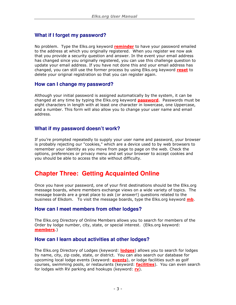## **What if I forget my password?**

No problem. Type the Elks.org keyword reminder to have your password emailed to the address at which you originally registered. When you register we now ask that you provide a security question and answer. In the event your email address has changed since you originally registered, you can use this challenge question to update your email address. If you have not done this and your email address has changed, you can still use the former process by using Elks.org keyword reset to delete your original registration so that you can register again.

#### **How can I change my password?**

Although your initial password is assigned automatically by the system, it can be changed at any time by typing the Elks.org keyword **password**. Passwords must be eight characters in length with at least one character in lowercase, one Uppercase, and a number. This form will also allow you to change your user name and email address.

### **What if my password doesn't work?**

If you're prompted repeatedly to supply your user name and password, your browser is probably rejecting our "cookies," which are a device used to by web browsers to remember your identity as you move from page to page on the web. Check the options, preferences or privacy menu and set your browser to accept cookies and you should be able to access the site without difficulty.

## **Chapter Three: Getting Acquainted Online**

Once you have your password, one of your first destinations should be the Elks.org message boards, where members exchange views on a wide variety of topics. The message boards are a great place to ask (or answer!) questions related to the business of Elkdom. To visit the message boards, type the Elks.org keyword **mb**.

#### **How can I meet members from other lodges?**

The Elks.org Directory of Online Members allows you to search for members of the Order by lodge number, city, state, or special interest. (Elks.org keyword: members.)

#### **How can I learn about activities at other lodges?**

The Elks.org Directory of Lodges (keyword: **lodges**) allows you to search for lodges by name, city, zip code, state, or district. You can also search our database for upcoming local lodge events (keyword: **events**), or lodge facilities such as golf courses, swimming pools, or restaurants (keyword: facilities). You can even search for lodges with RV parking and hookups (keyword:  $rv$ ).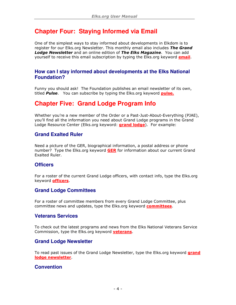## **Chapter Four: Staying Informed via Email**

One of the simplest ways to stay informed about developments in Elkdom is to register for our Elks.org Newsletter. This monthly email also includes The Grand Lodge Newsletter and an online edition of The Elks Magazine. You can add yourself to receive this email subscription by typing the Elks.org keyword **email**.

### **How can I stay informed about developments at the Elks National Foundation?**

Funny you should ask! The Foundation publishes an email newsletter of its own, titled **Pulse**. You can subscribe by typing the Elks.org keyword **pulse.** 

## **Chapter Five: Grand Lodge Program Info**

Whether you're a new member of the Order or a Past-Just-About-Everything (PJAE), you'll find all the information you need about Grand Lodge programs in the Grand Lodge Resource Center (Elks.org keyword: **grand lodge**). For example:

### **Grand Exalted Ruler**

Need a picture of the GER, biographical information, a postal address or phone number? Type the Elks.org keyword GER for information about our current Grand Exalted Ruler.

#### **Officers**

For a roster of the current Grand Lodge officers, with contact info, type the Elks.org keyword **officers**.

## **Grand Lodge Committees**

For a roster of committee members from every Grand Lodge Committee, plus committee news and updates, type the Elks.org keyword **committees**.

#### **Veterans Services**

To check out the latest programs and news from the Elks National Veterans Service Commission, type the Elks.org keyword veterans.

## **Grand Lodge Newsletter**

To read past issues of the Grand Lodge Newsletter, type the Elks.org keyword **grand** lodge newsletter.

#### **Convention**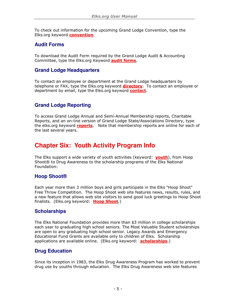To check out information for the upcoming Grand Lodge Convention, type the Elks.org keyword **convention**.

## **Audit Forms**

To download the Audit Form required by the Grand Lodge Audit & Accounting Committee, type the Elks.org Keyword **audit forms**.

### **Grand Lodge Headquarters**

To contact an employee or department at the Grand Lodge headquarters by telephone or FAX, type the Elks.org keyword **directory**. To contact an employee or department by email, type the Elks.org keyword **contact**.

## **Grand Lodge Reporting**

To access Grand Lodge Annual and Semi-Annual Membership reports, Charitable Reports, and an on-line version of Grand Lodge State/Associations Directory, type the elks.org keyword reports. Note that membership reports are online for each of the last several years.

## **Chapter Six: Youth Activity Program Info**

The Elks support a wide variety of youth activities (keyword: vouth), from Hoop Shoot® to Drug Awareness to the scholarship programs of the Elks National Foundation:

## **Hoop Shoot®**

Each year more than 3 million boys and girls participate in the Elks "Hoop Shoot" Free Throw Competition. The Hoop Shoot web site features news, results, rules, and a new feature that allows web site visitors to send good luck greetings to Hoop Shoot finalists. (Elks.org keyword: Hoop Shoot.)

## **Scholarships**

The Elks National Foundation provides more than \$3 million in college scholarships each year to graduating high school seniors. The Most Valuable Student scholarships are open to any graduating high school senior. Legacy Awards and Emergency Educational Fund Grants are available only to children of Elks. Scholarship applications are available online. (Elks.org keyword: scholarships.)

## **Drug Education**

Since its inception in 1983, the Elks Drug Awareness Program has worked to prevent drug use by youths through education. The Elks Drug Awareness web site features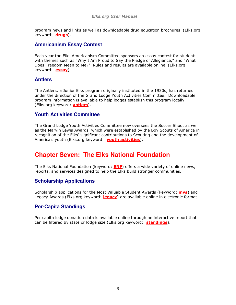program news and links as well as downloadable drug education brochures (Elks.org keyword: <mark>drugs</mark>),

### **Americanism Essay Contest**

Each year the Elks Americanism Committee sponsors an essay contest for students with themes such as "Why I Am Proud to Say the Pledge of Allegiance," and "What Does Freedom Mean to Me?" Rules and results are available online (Elks.org keyword: **essay**).

### **Antlers**

The Antlers, a Junior Elks program originally instituted in the 1930s, has returned under the direction of the Grand Lodge Youth Activities Committee. Downloadable program information is available to help lodges establish this program locally (Elks.org keyword: **antlers**).

### **Youth Activities Committee**

The Grand Lodge Youth Activities Committee now oversees the Soccer Shoot as well as the Marvin Lewis Awards, which were established by the Boy Scouts of America in recognition of the Elks' significant contributions to Scouting and the development of America's youth (Elks.org keyword: vouth activities).

## **Chapter Seven: The Elks National Foundation**

The Elks National Foundation (keyword: **ENF**) offers a wide variety of online news, reports, and services designed to help the Elks build stronger communities.

## **Scholarship Applications**

Scholarship applications for the Most Valuable Student Awards (keyword: **mvs**) and Legacy Awards (Elks.org keyword: legacy) are available online in electronic format.

## **Per-Capita Standings**

Per capita lodge donation data is available online through an interactive report that can be filtered by state or lodge size (Elks.org keyword: standings).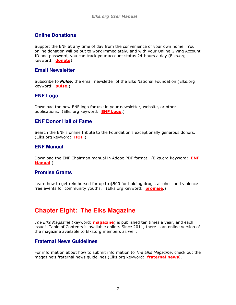### **Online Donations**

Support the ENF at any time of day from the convenience of your own home. Your online donation will be put to work immediately, and with your Online Giving Account ID and password, you can track your account status 24-hours a day (Elks.org keyword: **donate**).

#### **Email Newsletter**

Subscribe to **Pulse**, the email newsletter of the Elks National Foundation (Elks.org keyword: **pulse**.)

#### **ENF Logo**

Download the new ENF logo for use in your newsletter, website, or other publications. (Elks.org keyword: **ENF Logo.**)

#### **ENF Donor Hall of Fame**

Search the ENF's online tribute to the Foundation's exceptionally generous donors. (Elks.org keyword: HOF.)

#### **ENF Manual**

Download the ENF Chairman manual in Adobe PDF format. (Elks.org keyword: ENF Manual.)

#### **Promise Grants**

Learn how to get reimbursed for up to \$500 for holding drug-, alcohol- and violencefree events for community youths. (Elks.org keyword: **promise**.)

## **Chapter Eight: The Elks Magazine**

The Elks Magazine (keyword: **magazine**) is published ten times a year, and each issue's Table of Contents is available online. Since 2011, there is an online version of the magazine available to Elks.org members as well.

#### **Fraternal News Guidelines**

For information about how to submit information to The Elks Magazine, check out the magazine's fraternal news quidelines (Elks.org keyword: fraternal news).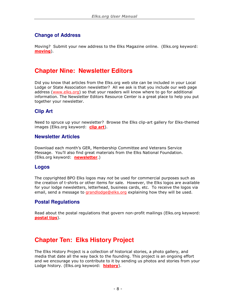## **Change of Address**

Moving? Submit your new address to the Elks Magazine online. (Elks.org keyword: moving).

## **Chapter Nine: Newsletter Editors**

Did you know that articles from the Elks.org web site can be included in your Local Lodge or State Association newsletter? All we ask is that you include our web page address (www.elks.org) so that your readers will know where to go for additional information. The Newsletter Editors Resource Center is a great place to help you put together your newsletter.

## **Clip Art**

Need to spruce up your newsletter? Browse the Elks clip-art gallery for Elks-themed images (Elks.org keyword: clip art).

#### **Newsletter Articles**

Download each month's GER, Membership Committee and Veterans Service Message. You'll also find great materials from the Elks National Foundation. (Elks.org keyword: newsletter.)

#### **Logos**

The copyrighted BPO Elks logos may not be used for commercial purposes such as the creation of t-shirts or other items for sale. However, the Elks logos are available for your lodge newsletters, letterhead, business cards, etc. To receive the logos via email, send a message to grandlodge@elks.org explaining how they will be used.

## **Postal Regulations**

Read about the postal regulations that govern non-profit mailings (Elks.org keyword: postal tips).

## **Chapter Ten: Elks History Project**

The Elks History Project is a collection of historical stories, a photo gallery, and media that date all the way back to the founding. This project is an ongoing effort and we encourage you to contribute to it by sending us photos and stories from your Lodge history. (Elks.org keyword: history).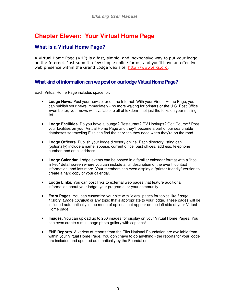## **Chapter Eleven: Your Virtual Home Page**

### **What is a Virtual Home Page?**

A Virtual Home Page (VHP) is a fast, simple, and inexpensive way to put your lodge on the Internet. Just submit a few simple online forms, and you'll have an effective web presence within the Grand Lodge web site, http://www.elks.org.

#### **What kind of information can we post on our lodge Virtual Home Page?**

Each Virtual Home Page includes space for:

- **Lodge News.** Post your newsletter on the Internet! With your Virtual Home Page, you can publish your news immediately - no more waiting for printers or the U.S. Post Office. Even better, your news will available to all of Elkdom - not just the folks on your mailing list.
- **Lodge Facilities.** Do you have a lounge? Restaurant? RV Hookups? Golf Course? Post your facilities on your Virtual Home Page and they'll become a part of our searchable databases so traveling Elks can find the services they need when they're on the road.
- **Lodge Officers.** Publish your lodge directory online. Each directory listing can (optionally) include a name, spouse, current office, past offices, address, telephone number, and email address.
- **Lodge Calendar.** Lodge events can be posted in a familiar calendar format with a "hotlinked" detail screen where you can include a full description of the event, contact information, and lots more. Your members can even display a "printer-friendly" version to create a hard copy of your calendar.
- **Lodge Links.** You can post links to external web pages that feature additional information about your lodge, your programs, or your community.
- **Extra Pages.** You can customize your site with "extra" pages for topics like Lodge History, Lodge Location or any topic that's appropriate to your lodge. These pages will be included automatically in the menu of options that appear on the left side of your Virtual Home page.
- **Images.** You can upload up to 200 images for display on your Virtual Home Pages. You can even create a multi-page photo gallery with captions!
- **ENF Reports.** A variety of reports from the Elks National Foundation are available from within your Virtual Home Page. You don't have to do anything - the reports for your lodge are included and updated automatically by the Foundation!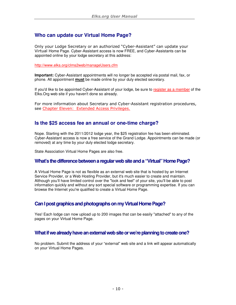## **Who can update our Virtual Home Page?**

Only your Lodge Secretary or an authorized "Cyber-Assistant" can update your Virtual Home Page. Cyber-Assistant access is now FREE, and Cyber-Assistants can be appointed online by your lodge secretary at this address:

http://www.elks.org/clms2web/manageUsers.cfm

**Important:** Cyber-Assistant appointments will no longer be accepted via postal mail, fax, or phone. All appointment **must** be made online by your duly elected secretary.

If you'd like to be appointed Cyber-Assistant of your lodge, be sure to register as a member of the Elks.Org web site if you haven't done so already.

For more information about Secretary and Cyber-Assistant registration procedures, see Chapter Eleven: Extended Access Privileges.

#### **Is the \$25 access fee an annual or one-time charge?**

Nope. Starting with the 2011/2012 lodge year, the \$25 registration fee has been eliminated. Cyber-Assistant access is now a free service of the Grand Lodge. Appointments can be made (or removed) at any time by your duly elected lodge secretary.

State Association Virtual Home Pages are also free.

#### **What's the difference between a regular web site and a "Virtual" Home Page?**

A Virtual Home Page is not as flexible as an external web site that is hosted by an Internet Service Provider, or a Web Hosting Provider, but it's much easier to create and maintain. Although you'll have limited control over the "look and feel" of your site, you'll be able to post information quickly and without any sort special software or programming expertise. If you can browse the Internet you're qualified to create a Virtual Home Page.

#### **Can I post graphics and photographs on my Virtual Home Page?**

Yes! Each lodge can now upload up to 200 images that can be easily "attached" to any of the pages on your Virtual Home Page.

#### **What if we already have an external web site or we're planning to create one?**

No problem. Submit the address of your "external" web site and a link will appear automatically on your Virtual Home Pages.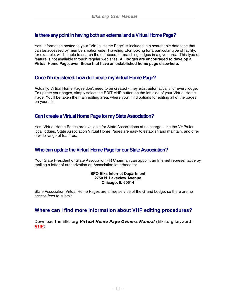### **Is there any point in having both an external and a Virtual Home Page?**

Yes. Information posted to your "Virtual Home Page" is included in a searchable database that can be accessed by members nationwide. Traveling Elks looking for a particular type of facility, for example, will be able to search the database for matching lodges in a given area. This type of feature is not available through regular web sites. **All lodges are encouraged to develop a Virtual Home Page, even those that have an established home page elsewhere.** 

### **Once I'm registered, how do I create my Virtual Home Page?**

Actually, Virtual Home Pages don't need to be created - they exist automatically for every lodge. To update your pages, simply select the EDIT VHP button on the left side of your Virtual Home Page. You'll be taken the main editing area, where you'll find options for editing all of the pages on your site.

#### **Can I create a Virtual Home Page for my State Association?**

Yes. Virtual Home Pages are available for State Associations at no charge. Like the VHPs for local lodges, State Association Virtual Home Pages are easy to establish and maintain, and offer a wide range of features.

#### **Who can update the Virtual Home Page for our State Association?**

Your State President or State Association PR Chairman can appoint an Internet representative by mailing a letter of authorization on Association letterhead to:

#### **BPO Elks Internet Department 2750 N. Lakeview Avenue Chicago, IL 60614**

State Association Virtual Home Pages are a free service of the Grand Lodge, so there are no access fees to submit.

#### **Where can I find more information about VHP editing procedures?**

Download the Elks.org *Virtual Home Page Owners Manual* (Elks.org keyword: VHP).